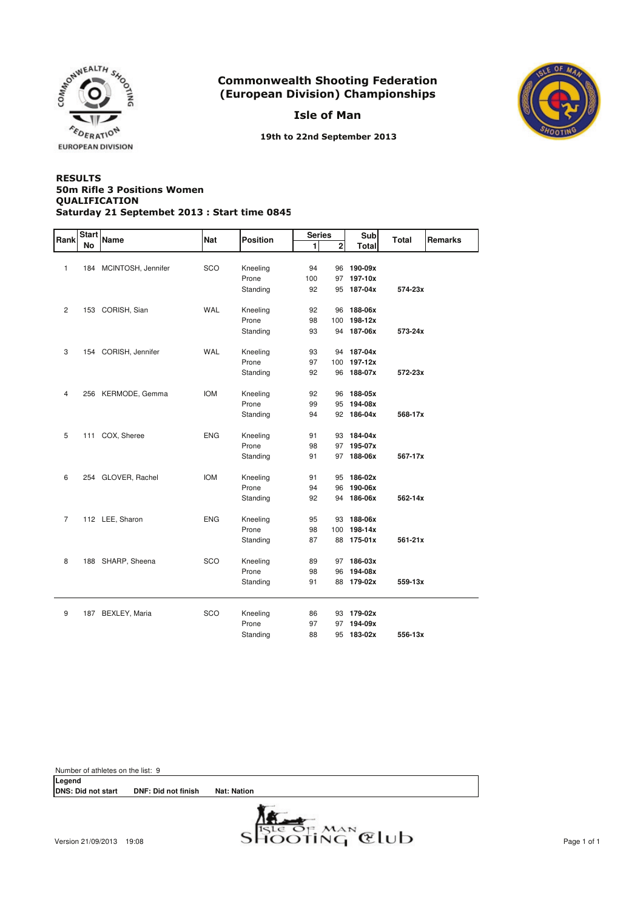

Isle of Man



19th to 22nd September 2013

#### **RESULTS** QUALIFICATION Saturday 21 Septembet 2013 : Start time 0845 50m Rifle 3 Positions Women

| Rank           | <b>Start</b> | Name                   | <b>Nat</b> | <b>Position</b> | <b>Series</b> |                | <b>Sub</b>   | <b>Total</b> | <b>Remarks</b> |
|----------------|--------------|------------------------|------------|-----------------|---------------|----------------|--------------|--------------|----------------|
|                | No           |                        |            |                 | 1             | $\overline{2}$ | <b>Total</b> |              |                |
|                |              |                        |            |                 |               |                |              |              |                |
| $\mathbf{1}$   |              | 184 MCINTOSH, Jennifer | SCO        | Kneeling        | 94            |                | 96 190-09x   |              |                |
|                |              |                        |            | Prone           | 100           | 97             | 197-10x      |              |                |
|                |              |                        |            | Standing        | 92            | 95             | 187-04x      | 574-23x      |                |
|                |              |                        |            |                 |               |                |              |              |                |
| $\overline{2}$ |              | 153 CORISH, Sian       | WAL        | Kneeling        | 92            | 96             | 188-06x      |              |                |
|                |              |                        |            | Prone           | 98            | 100            | 198-12x      |              |                |
|                |              |                        |            | Standing        | 93            |                | 94 187-06x   | 573-24x      |                |
| 3              |              | 154 CORISH, Jennifer   | <b>WAL</b> | Kneeling        | 93            |                | 94 187-04x   |              |                |
|                |              |                        |            | Prone           | 97            | 100            | 197-12x      |              |                |
|                |              |                        |            | Standing        | 92            | 96             | 188-07x      | 572-23x      |                |
|                |              |                        |            |                 |               |                |              |              |                |
| 4              |              | 256 KERMODE, Gemma     | <b>IOM</b> | Kneeling        | 92            | 96             | 188-05x      |              |                |
|                |              |                        |            | Prone           | 99            | 95             | 194-08x      |              |                |
|                |              |                        |            | Standing        | 94            | 92             | 186-04x      | 568-17x      |                |
|                |              |                        |            |                 |               |                |              |              |                |
| 5              |              | 111 COX, Sheree        | <b>ENG</b> | Kneeling        | 91            |                | 93 184-04x   |              |                |
|                |              |                        |            | Prone           | 98            | 97             | 195-07x      |              |                |
|                |              |                        |            | Standing        | 91            | 97             | 188-06x      | 567-17x      |                |
|                |              |                        |            |                 |               |                |              |              |                |
| 6              |              | 254 GLOVER, Rachel     | <b>IOM</b> | Kneeling        | 91            | 95             | 186-02x      |              |                |
|                |              |                        |            | Prone           | 94            | 96             | 190-06x      |              |                |
|                |              |                        |            | Standing        | 92            | 94             | 186-06x      | 562-14x      |                |
| $\overline{7}$ |              | 112 LEE, Sharon        | <b>ENG</b> | Kneeling        | 95            | 93             | 188-06x      |              |                |
|                |              |                        |            | Prone           | 98            | 100            | 198-14x      |              |                |
|                |              |                        |            | Standing        | 87            | 88             | 175-01x      | 561-21x      |                |
|                |              |                        |            |                 |               |                |              |              |                |
| 8              |              | 188 SHARP, Sheena      | SCO        | Kneeling        | 89            | 97             | 186-03x      |              |                |
|                |              |                        |            | Prone           | 98            | 96             | 194-08x      |              |                |
|                |              |                        |            | Standing        | 91            | 88             | 179-02x      | 559-13x      |                |
|                |              |                        |            |                 |               |                |              |              |                |
| 9              |              | 187 BEXLEY, Maria      | SCO        | Kneeling        | 86            |                | 93 179-02x   |              |                |
|                |              |                        |            | Prone           | 97            | 97             | 194-09x      |              |                |
|                |              |                        |            | Standing        | 88            | 95             | 183-02x      | 556-13x      |                |

Number of athletes on the list: 9

**Legend DNS: Did not start DNF: Did not finish Nat: Nation**

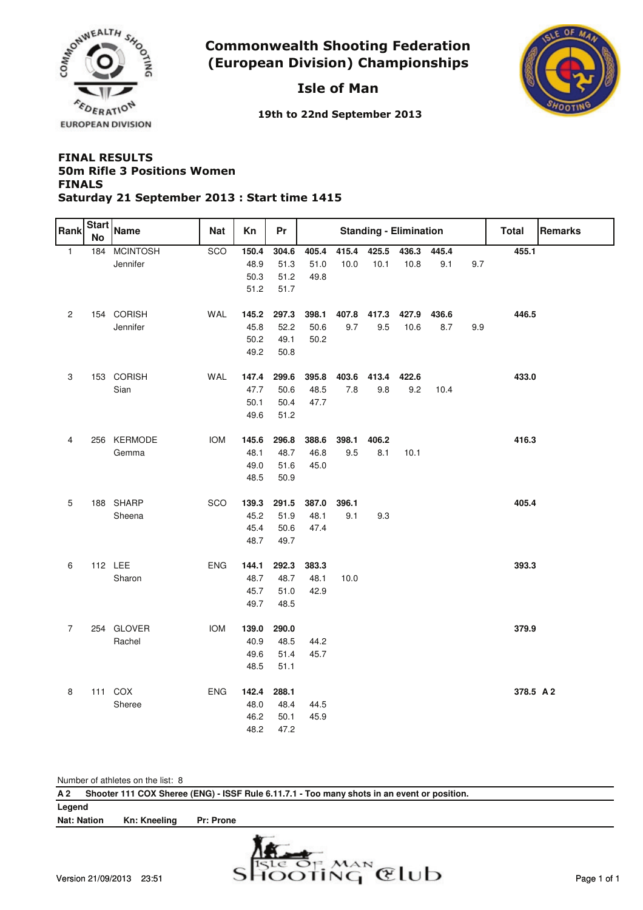

# Isle of Man



19th to 22nd September 2013

### **FINAL RESULTS FINALS** Saturday 21 September 2013 : Start time 1415 50m Rifle 3 Positions Women

| Rank           | <b>Start</b><br>No | Name                                   | Nat               | Кn                                                             | Pr                                                             |                                       |       |       | <b>Standing - Elimination</b> |       |     | <b>Total</b>       | Remarks |
|----------------|--------------------|----------------------------------------|-------------------|----------------------------------------------------------------|----------------------------------------------------------------|---------------------------------------|-------|-------|-------------------------------|-------|-----|--------------------|---------|
| $\mathbf{1}$   | 184                | <b>MCINTOSH</b>                        | SCO               | 150.4                                                          | 304.6                                                          | 405.4                                 | 415.4 | 425.5 | 436.3                         | 445.4 |     | 455.1              |         |
|                |                    | Jennifer                               |                   | 48.9                                                           | 51.3                                                           | 51.0                                  | 10.0  | 10.1  | 10.8                          | 9.1   | 9.7 |                    |         |
|                |                    |                                        |                   | 50.3                                                           | 51.2                                                           | 49.8                                  |       |       |                               |       |     |                    |         |
|                |                    |                                        |                   | 51.2                                                           | 51.7                                                           |                                       |       |       |                               |       |     |                    |         |
|                |                    |                                        |                   |                                                                |                                                                |                                       |       |       |                               |       |     |                    |         |
| $\overline{c}$ |                    | 154 CORISH                             | <b>WAL</b>        | 145.2                                                          | 297.3                                                          | 398.1                                 | 407.8 | 417.3 | 427.9                         | 436.6 |     | 446.5              |         |
|                |                    | Jennifer                               |                   | 45.8                                                           | 52.2                                                           | 50.6                                  | 9.7   | 9.5   | 10.6                          | 8.7   | 9.9 |                    |         |
|                |                    |                                        |                   | 50.2                                                           | 49.1                                                           | 50.2                                  |       |       |                               |       |     |                    |         |
|                |                    |                                        |                   | 49.2                                                           | 50.8                                                           |                                       |       |       |                               |       |     |                    |         |
| 3              |                    | 153 CORISH                             | WAL               | 147.4                                                          | 299.6                                                          | 395.8                                 | 403.6 | 413.4 | 422.6                         |       |     | 433.0              |         |
|                |                    | Sian                                   |                   | 47.7                                                           | 50.6                                                           | 48.5                                  | $7.8$ | 9.8   | 9.2                           | 10.4  |     |                    |         |
|                |                    |                                        |                   | 50.1                                                           | 50.4                                                           | 47.7                                  |       |       |                               |       |     |                    |         |
|                |                    |                                        |                   | 49.6                                                           | 51.2                                                           |                                       |       |       |                               |       |     |                    |         |
|                |                    |                                        |                   |                                                                |                                                                |                                       |       |       |                               |       |     |                    |         |
| 4              |                    | 256 KERMODE                            | <b>IOM</b>        | 145.6                                                          | 296.8                                                          | 388.6                                 | 398.1 | 406.2 |                               |       |     | 416.3              |         |
|                |                    | Gemma                                  |                   | 48.1                                                           | 48.7                                                           | 46.8                                  | 9.5   | 8.1   | 10.1                          |       |     |                    |         |
|                |                    |                                        |                   | 49.0                                                           | 51.6                                                           | 45.0                                  |       |       |                               |       |     |                    |         |
|                |                    |                                        |                   | 48.5                                                           | 50.9                                                           |                                       |       |       |                               |       |     |                    |         |
|                |                    |                                        |                   |                                                                |                                                                |                                       |       |       |                               |       |     |                    |         |
| 5              |                    | 188 SHARP                              | SCO               | 139.3                                                          | 291.5                                                          | 387.0                                 | 396.1 |       |                               |       |     | 405.4              |         |
|                |                    | Sheena                                 |                   | 45.2                                                           | 51.9                                                           | 48.1                                  | 9.1   | 9.3   |                               |       |     |                    |         |
|                |                    |                                        |                   | 45.4                                                           | 50.6                                                           | 47.4                                  |       |       |                               |       |     |                    |         |
|                |                    |                                        |                   | 48.7                                                           | 49.7                                                           |                                       |       |       |                               |       |     |                    |         |
|                |                    |                                        |                   |                                                                |                                                                |                                       |       |       |                               |       |     |                    |         |
|                |                    |                                        |                   |                                                                |                                                                |                                       |       |       |                               |       |     |                    |         |
|                |                    |                                        |                   |                                                                |                                                                |                                       |       |       |                               |       |     |                    |         |
|                |                    |                                        |                   |                                                                |                                                                |                                       |       |       |                               |       |     |                    |         |
|                |                    |                                        |                   |                                                                |                                                                |                                       |       |       |                               |       |     |                    |         |
| $\overline{7}$ |                    | 254 GLOVER                             | <b>IOM</b>        | 139.0                                                          | 290.0                                                          |                                       |       |       |                               |       |     | 379.9              |         |
|                |                    | Rachel                                 |                   | 40.9                                                           | 48.5                                                           | 44.2                                  |       |       |                               |       |     |                    |         |
|                |                    |                                        |                   | 49.6                                                           | 51.4                                                           | 45.7                                  |       |       |                               |       |     |                    |         |
|                |                    |                                        |                   | 48.5                                                           | 51.1                                                           |                                       |       |       |                               |       |     |                    |         |
|                |                    |                                        |                   |                                                                |                                                                |                                       |       |       |                               |       |     |                    |         |
|                |                    |                                        |                   |                                                                |                                                                |                                       |       |       |                               |       |     |                    |         |
|                |                    |                                        |                   |                                                                |                                                                |                                       |       |       |                               |       |     |                    |         |
|                |                    |                                        |                   |                                                                |                                                                |                                       |       |       |                               |       |     |                    |         |
| 6<br>$\bf 8$   |                    | 112 LEE<br>Sharon<br>111 COX<br>Sheree | ENG<br><b>ENG</b> | 144.1<br>48.7<br>45.7<br>49.7<br>142.4<br>48.0<br>46.2<br>48.2 | 292.3<br>48.7<br>51.0<br>48.5<br>288.1<br>48.4<br>50.1<br>47.2 | 383.3<br>48.1<br>42.9<br>44.5<br>45.9 | 10.0  |       |                               |       |     | 393.3<br>378.5 A 2 |         |

|  |  | Number of athletes on the list: 8 |  |  |  |
|--|--|-----------------------------------|--|--|--|
|--|--|-----------------------------------|--|--|--|

| A 2                |              |                  | Shooter 111 COX Sheree (ENG) - ISSF Rule 6.11.7.1 - Too many shots in an event or position. |
|--------------------|--------------|------------------|---------------------------------------------------------------------------------------------|
| Legend             |              |                  |                                                                                             |
| <b>Nat: Nation</b> | Kn: Kneeling | <b>Pr: Prone</b> |                                                                                             |
|                    |              |                  | $\frac{1}{2}$                                                                               |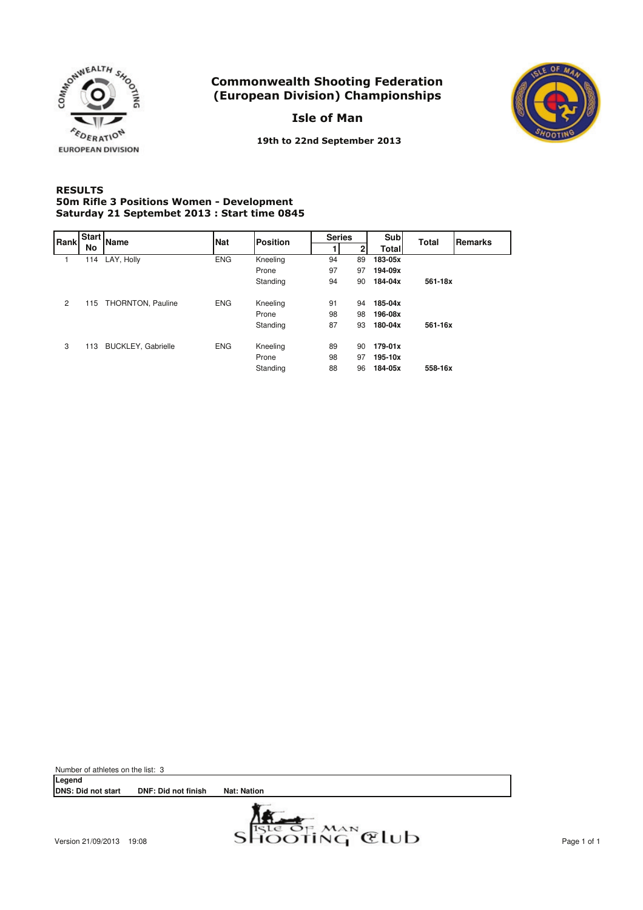

Isle of Man



**EUROPEAN DIVISION** 

19th to 22nd September 2013

### **RESULTS** 50m Rifle 3 Positions Women - Development Saturday 21 Septembet 2013 : Start time 0845

| Rank | Start | <b>Name</b>               | <b>Nat</b> | <b>Position</b> | <b>Series</b> |    | Sub          | <b>Total</b> | Remarks |
|------|-------|---------------------------|------------|-----------------|---------------|----|--------------|--------------|---------|
|      | No    |                           |            |                 |               |    | <b>Total</b> |              |         |
|      | 114   | LAY, Holly                | <b>ENG</b> | Kneeling        | 94            | 89 | 183-05x      |              |         |
|      |       |                           |            | Prone           | 97            | 97 | 194-09x      |              |         |
|      |       |                           |            | Standing        | 94            | 90 | 184-04x      | 561-18x      |         |
| 2    | 115   | THORNTON, Pauline         | <b>ENG</b> | Kneeling        | 91            | 94 | 185-04x      |              |         |
|      |       |                           |            | Prone           | 98            | 98 | 196-08x      |              |         |
|      |       |                           |            | Standing        | 87            | 93 | 180-04x      | 561-16x      |         |
| 3    | 113   | <b>BUCKLEY, Gabrielle</b> | <b>ENG</b> | Kneeling        | 89            | 90 | 179-01x      |              |         |
|      |       |                           |            | Prone           | 98            | 97 | 195-10x      |              |         |
|      |       |                           |            | Standing        | 88            | 96 | 184-05x      | 558-16x      |         |

Number of athletes on the list: 3 **Legend DNS: Did not start DNF: Did not finish Nat: Nation**

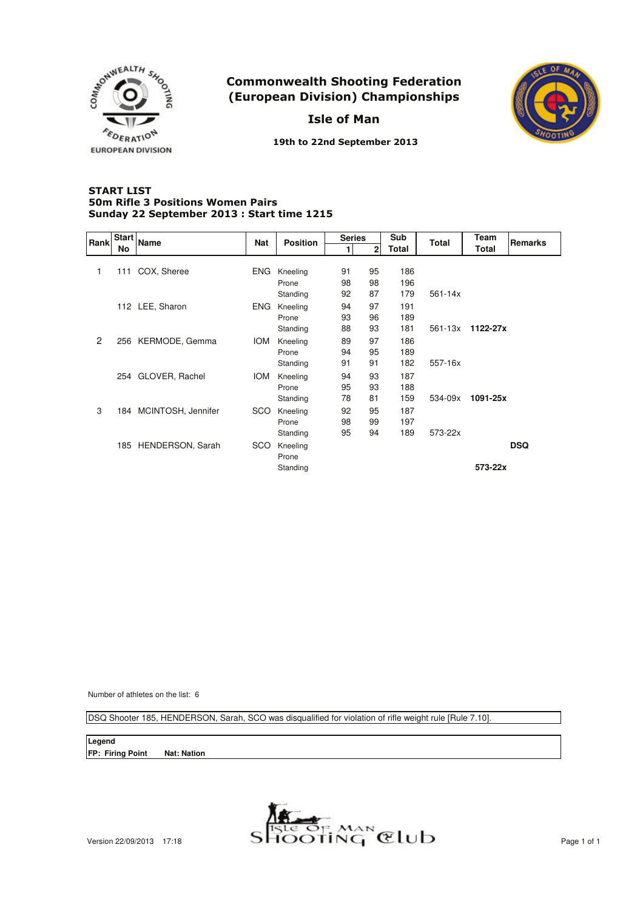

Isle of Man



19th to 22nd September 2013

#### **START LIST** Sunday 22 September 2013 : Start time 1215 50m Rifle 3 Positions Women Pairs

| Rank         | Start | <b>Name</b>            | <b>Nat</b> | <b>Position</b> | <b>Series</b> |              | Sub   | <b>Total</b> | <b>Team</b> | Remarks    |
|--------------|-------|------------------------|------------|-----------------|---------------|--------------|-------|--------------|-------------|------------|
|              | No    |                        |            |                 | 1             | $\mathbf{2}$ | Total |              | Total       |            |
|              |       |                        |            |                 |               |              |       |              |             |            |
| 1            | 111   | COX, Sheree            | ENG.       | Kneeling        | 91            | 95           | 186   |              |             |            |
|              |       |                        |            | Prone           | 98            | 98           | 196   |              |             |            |
|              |       |                        |            | Standing        | 92            | 87           | 179   | $561 - 14x$  |             |            |
|              |       | 112 LEE, Sharon        | <b>ENG</b> | Kneeling        | 94            | 97           | 191   |              |             |            |
|              |       |                        |            | Prone           | 93            | 96           | 189   |              |             |            |
|              |       |                        |            | Standing        | 88            | 93           | 181   | 561-13x      | 1122-27x    |            |
| $\mathbf{2}$ |       | 256 KERMODE, Gemma     | <b>IOM</b> | Kneeling        | 89            | 97           | 186   |              |             |            |
|              |       |                        |            | Prone           | 94            | 95           | 189   |              |             |            |
|              |       |                        |            | Standing        | 91            | 91           | 182   | 557-16x      |             |            |
|              |       | 254 GLOVER, Rachel     | <b>IOM</b> | Kneeling        | 94            | 93           | 187   |              |             |            |
|              |       |                        |            | Prone           | 95            | 93           | 188   |              |             |            |
|              |       |                        |            | Standing        | 78            | 81           | 159   | 534-09x      | 1091-25x    |            |
| 3            |       | 184 MCINTOSH, Jennifer | <b>SCO</b> | Kneeling        | 92            | 95           | 187   |              |             |            |
|              |       |                        |            | Prone           | 98            | 99           | 197   |              |             |            |
|              |       |                        |            | Standing        | 95            | 94           | 189   | 573-22x      |             |            |
|              |       | 185 HENDERSON, Sarah   | <b>SCO</b> | Kneeling        |               |              |       |              |             | <b>DSQ</b> |
|              |       |                        |            | Prone           |               |              |       |              |             |            |
|              |       |                        |            | Standing        |               |              |       |              | 573-22x     |            |
|              |       |                        |            |                 |               |              |       |              |             |            |

Number of athletes on the list: 6

DSQ Shooter 185, HENDERSON, Sarah, SCO was disqualified for violation of rifle weight rule [Rule 7.10].

**Legend FP: Firing Point Nat: Nation**